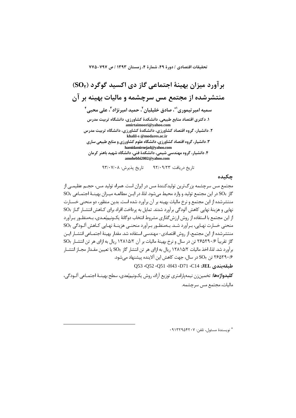تحقيقات اقتصادي / دورة ٤٩، شمارة ٤، زمستان ١٣٩٣ / ص ٧٩٧-٧٧٥

بر آورد میزان بهینهٔ اجتماعی گاز دی اکسید گوگرد (SO,) منتشرشده از مجتمع مس سرچشمه و مالیات بهینه بر آن سميه امير تيموري'"، صادق خليليان'، حميد اميرنژاد"، على محبى' ۱. دکتری اقتصاد منابع طبیعی، دانشکدهٔ کشاورزی، دانشگاه تربیت مدرس amirtaimoori@yahoo.com ۲. دانشیار، گروه اقتصاد کشاورزی، دانشکدهٔ کشاورزی، دانشگاه تربیت مدرس khalil-s @modares.ac.ir ۳. دانشیار، گروه اقتصاد کشاورزی، دانشگاه علوم کشاورزی و منابع طبیعی ساری hamidamirnejad@yahoo.com ۴. دانشیار، گروه مهندسی شیمی، دانشکدهٔ فنی، دانشگاه شهید باهنر کرمان amohebbi2002@yahoo.com

تاريخ پذيرش: ٩٣/٠٧/٠٨ تاریخ دریافت: ۹۲/۰۹/۲۳

حكىدە

مجتمع مس سرچشمه بزرگترین تولیدکنندهٔ مس در ایران است. همراه تولید مس، حجـم عظیمــی از  $\mathrm{SO}_1$  كاز  $\mathrm{SO}_7$  در اين مجتمع توليد و وارد محيط ميشود. لذا، در ايـن مطالعــه ميـزان بهينــهٔ اجتمـاعي منتشرشده از این مجتمع و نرخ مالیات بهینه بر آن برآورد شده است. بدین منظور، دو منحنی خسـارت نهایی و هزینهٔ نهایی کاهش آلودگی برآورد شدند. تمایل به پرداخت افراد برای کــاهش انتشــار گــاز SO<sub>۲</sub> از این مجتمع با استفاده از روش ارزش گذاری مشروط انتخاب دوگانهٔ یکونیمبُعـدی، بـهمنظـور بـرآورد منحنی خسارت نهـایی، بـرآورد شـد. بـهمنظـور بـرآورد منحنـی هزینـهٔ نهـایی کـاهش آلـودگی SO<sub>۲</sub> منتشرشده از این مجتمع، از روش اقتصادی- مهندسی استفاده شد. مقدار بهینهٔ اجتمــاعی انتشــار ایــن گاز تقریباً ۲۶۵۲۹۰/۶ تن در سال و نرخ بهینهٔ مالیات بر آن ۱۲۸۱۵/۲ ریال به ازای هر تن انتشـار SO<sub>۲</sub> برآورد شد. لذا، اخذ مالیات ۱۲۸۱۵/۲ ریال به ازای هر تن انتشار گاز SO<sub>۲</sub> یا تعیین مقـدار مجـاز انتشـار ۲۶۵۲۹۰/۶ تن SO<sub>۲</sub> در سال، جهت کاهش این آلاینده پیشنهاد مے شود.

طبقەيندى JEL، O53 ،O52 ،O51 ،H43 ،D71 ،C14 ،JEL

**كليدواژهها:** تخمينزن نيمهپارامتري توزيع آزاد، روش يكونيم<sub>ا</sub>بَعدي، سطح بهينــهٔ اجتمــاعي آلــودگي، ماليات، مجتمع مس سرچشمه.

\* نويسندة مسئول، تلفن: ٩١٣٢٩٥۴٢٠٧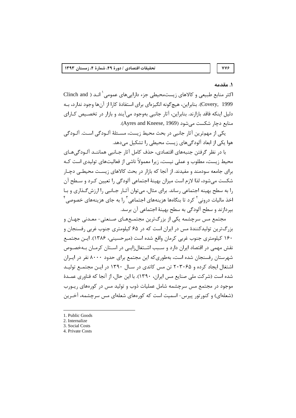# 778

## ١. مقدمه

اکثر منابع طبیعی و کالاهای زیستمحیطی جزء داراییهای عمومی یا اند ( Clinch and Covery, 1999). بنابراین، هیچگونه انگیزهای برای استفادهٔ کارا از آنها وجود ندارد، بـه دلیل اینکه فاقد بازارند. بنابراین، آثار جانبی بهوجود میآیند و بازار در تخصیص کـارای منابع دچار شکست می شود (Ayres and Kneese, 1969).

یکی از مهمترین آثار جانبی در بحث محیط زیست، مسـئلهٔ آلـودگی اسـت. آلـودگی هوا یکی از ابعاد آلودگی،های زیست محیطی را تشکیل می،دهد.

با در نظر گرفتن جنبههای اقتصادی، حذف کامل آثار جـانبی هماننــد آلــودگی هــای محیط زیست، مطلوب و عملی نیست، زیرا معمولاً ناشی از فعالیتهای تولیدی است کـه برای جامعه سودمند و مفیدند. از آنجا که بازار در بحث کالاهای زیست محیطی دجیار شکست می شود، لذا لازم است میزان بهینهٔ اجتماعی آلودگی را تعیین کـرد و سـطح آن را به سطح بهینه اجتماعی رساند. برای مثال، می توان آثـار جـانبی را ارزش گـذاری و بـا  $^{\mathfrak{f}}$ اخذ مالیات درونی <sup>۲</sup> کرد تا بنگاهها هزینههای اجتماعی ۱٫<sup>۳</sup> به جای هزینههای خصوصی بیردازند و سطح آلودگی به سطح بهینهٔ اجتماعی آن برسد.

مجتمع مس سرچشمه یکی از بزرگترین مجتمـعهـای صـنعتی- معـدنی جهـان و بزرگترین تولیدکنندهٔ مس در ایران است که در ۶۵ کیلومتری جنوب غربی رفسنجان و ۱۶۰ کیلومتری جنوب غربی کرمان واقع شده است (میرحسینی، ۱۳۸۶). ایـن مجتمـع نقش مهمی در اقتصاد ایران دارد و سـبب اشـتغال;ایـی در اسـتان کرمـان بـهخصـوص شهرستان رفسنجان شده است، بهطوری که این مجتمع برای حدود ۸۰۰۰ نفر در ایـران اشتغال ایجاد کرده و ۲۰۳۰۶۵ تن مس کاتدی در سال ۱۳۹۰ در ایـن مجتمـع تولیـد شده است (شركت ملي صنايع مس ايران، ١٣٩٠). با اين حال، از آنجا كه فناوري عمـدهٔ موجود در مجتمع مس سرچشمه شامل عملیات ذوب و تولید مس در کورههای ریــورب (شعلهای) و کنورتور پیرس- اسمیت است که کورههای شعلهای مس سرچشمه، آخـرین

<sup>1.</sup> Public Goods

<sup>2.</sup> Internalize

<sup>3.</sup> Social Costs

<sup>4.</sup> Private Costs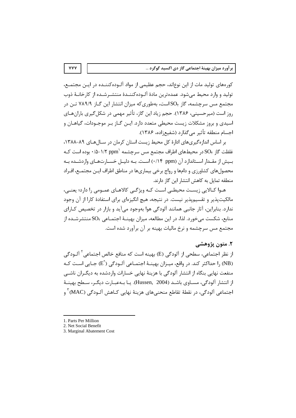کورههای تولید مات از این نوع|ند، حجم عظیمی از مواد آلـودهکننــده در ایــن مجتمــع، تولید و وارد محیط میشود. عمدهترین مادهٔ آلـودهکننـدهٔ منتشـرشـده از کارخانـهٔ ذوب مجتمع مس سرچشمه، گاز SO<sub>۲</sub>است، بهطوری که میزان انتشار این گــاز ۷۸۹/۹ تــن در روز است (میرحسینی، ۱۳۸۶). حجم زیاد این گاز، تأثیر مهمی در شکل گیری بارانهـای اسیدی و بروز مشکلات زیست محیطی متعدد دارد. ایـن گــاز بـر موجــودات، گیاهــان و اجسام منطقه تأثير مي گذارد (شفيع;اده، ١٣٨۶).

بر اساس اندازهگیریهای ادارهٔ کل محیط زیست استان کرمان در سالهای ۸۹-۱۳۸۸، غلظت گاز SO<sub>۲</sub> در محیطهای اطراف مجتمع مس سرچشمه ۱/۲ ppm<sup>۱</sup> بوده است کـه بیش از مقـدار اسـتاندارد آن (۰/۱۴ ppm) اسـت. بـه دلیـل خسـارتهـای واردشـده بـه محصولهای کشاورزی و دامها و رواج برخی بیماریها در مناطق اطراف ایـن مجتمـع، افـراد منطقه تمایل به کاهش انتشار این گاز دارند.

هـوا كـالايي زيسـت محيطـي اسـت كـه ويژگـي كالاهـاي عمـومي را دارد؛ يعنـي، مالکیتیذیر و تقسیمیذیر نیست. در نتیجه، هیچ انگیزمای برای استفادهٔ کارا از آن وجود ندارد. بنابراین، آثار جانبی همانند آلودگی هوا بهوجود می آید و بازار در تخصیص کـارای منابع، شکست میخورد. لذا، در این مطالعه، میزان بهینـهٔ اجتمـاعی SO<sub>۲</sub>منتشرشـده از مجتمع مس سرچشمه و نرخ مالیات بهینه بر آن برآورد شده است.

## ٢. متون پژوهشي

از نظر اجتماعي، سطحي از آلودگي (E) بهينه است كه منافع خالص اجتماعي <sup>۲</sup> آلــودگي (NB) ,ا حداکثر کند. در واقع، میـزان بهینـهٔ اجتمـاعی آلـودگی (Eٌ) جـایی اسـت کـه منفعت نهایی بنگاه از انتشار آلودگی با هزینهٔ نهایی خسارات واردشده به دیگـران ناشـی از انتشار آلودگی، مسـاوی باشــد (Hussen, 2004). يــا بــهعبــارت ديگــر، ســطح بهينــهٔ اجتماعي آلودگي، در نقطهٔ تقاطع منحني هاي هزينهٔ نهايي كــاهش آلــودگي (MAC) ّ و

**YYY** 

<sup>1.</sup> Parts Per Million

<sup>2.</sup> Net Social Benefit

<sup>3.</sup> Marginal Abatement Cost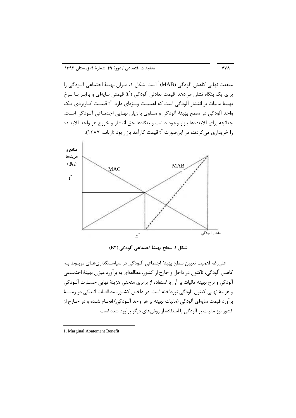منفعت نهایی کاهش آلودگی (MAB)<sup>\</sup> است. شکل ۱، میزان بهینهٔ اجتماعی آلـودگی ۱٫ برای یک بنگاه نشان میدهد. قیمت تعادلی آلودگی (أ) قیمتی سایهای و برابـر بـا نـرخ بهینهٔ مالیات بر انتشار آلودگی است که اهمیت ویـژهای دارد. ۲ْ قیمـت کـاربردی یـک واحد آلودگي در سطح بهينهٔ آلودگي و مساوي با زيان نهـايي اجتمـاعي آلـودگي اسـت. چنانچه برای آلایندهها بازار وجود داشت و بنگاهها حق انتشار و خروج هر واحد آلاینــده را خریداری می کردند، در اینصورت آt قیمت کارآمد بازار بود (ارباب، ۱۳۸۷).

**YYA** 



شكل ١. سطح بهينة اجتماعي آلودگي (\*E)

علی٫غم اهمیت تعیین سطح بهینهٔ اجتماعی آلـودگی در سیاسـتگذاریهـای مربـوط بـه كاهش آلودگي، تاكنون در داخل و خارج از كشور، مطالعهاي به برآورد ميزان بهينهٔ اجتمـاعي آلودگی و نرخ بهینهٔ مالیات بر آن با استفاده از برابری منحنی هزینهٔ نهایی خسـارت آلـودگی و هزينهٔ نهايي كنترل آلودگي نپرداخته است. در داخـل كشـور، مطالعـات انـدكي در زمينـهٔ برآورد قيمت سايهاي آلودگي (ماليات بهينه بر هر واحد آلـودگي) انجــام شــده و در خــارج از کشور نیز مالیات بر آلودگی با استفاده از روش های دیگر برآورد شده است.

<sup>1.</sup> Marginal Abatement Benefit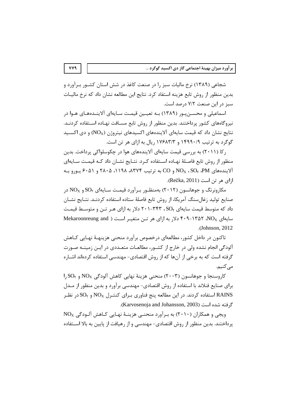شجاعی (۱۳۸۹) نرخ مالیات سبز را در صنعت کاغذ در شش استان کشـور بـرآورد و بدین منظور از روش تابع هزینه استفاد کرد. نتایج این مطالعه نشان داد که نرخ مالیــات سبز در این صنعت ۷/۲ درصد است.

اسماعیلی و محسـن پـور (۱۳۸۹) بـه تعیـین قیمـت سـایهای آلاینـدههـای هـوا در نیروگاههای کشور پرداختند. بدین منظور از روش تابع مسـافت نهـاده اسـتفاده کردنـد. نتايج نشان داد كه قيمت سايهاي آلايندههاي اكسيدهاي نيتروژن (NO<sub>X</sub>) و دي اكسـيد گوگرد به ترتیب ۱۴۹۹۰/۹ و ۱۷۶۸۳/۳ ریال به ازای هر تن است.

ر کا (۲۰۱۱) به بررسی قیمت سایهای آلایندههای هوا در چکوسلواکی پرداخت. بدین منظور از روش تابع فاصلهٔ نهـاده اسـتفاده كـرد. نتـايج نشـان داد كـه قيمـت سـايهاي آلایندههای NOx ، SO, ،PM و CO به ترتیب ۸۳۷۴، ۱۱۹۸، ۲۸۰۵ و ۶۰۵۱ یـورو بـه ازای هر تن است (Rečka, 2011).

مکارونرنگ و جوهانسون (۲۰۱۲) بهمنظـور بـرآورد قیمـت سـایهای SO<sub>۲ و N</sub>O<sub>X</sub> در صنايع توليد زغالسنگ آمريكا، از روش تابع فاصلهٔ ستاده استفاده كردنـد. نتـايج نشـان داد که متوسط قیمت سایهای SO<sub>۲</sub> ، ۳۴۳-۲۰۱ دلار به ازای هـر تـن و متوسـط قیمـت Mekaroonreung and ) دلار به ازای هر تـن متغیـر اسـت ( Mekaroonreung and .(Johnson, 2012).

تاکنون در داخل کشور، مطالعهای درخصوص برآورد منحنی هزینهـهٔ نهـایی کــاهش آلودگی انجام نشده ولی در خارج از کشـور، مطالعـات متعـددی در ایـن زمینـه صـورت گرفته است که به برخی از آنها که از روش اقتصادی- مهندسی استفاده کردهاند اشـاره مے کنیم.

 $\rm 1, SO_{Y}$  کاروسنجا و جوهانسون (۲۰۰۳) منحنی هزینهٔ نهایی کاهش آلودگی N $\rm O_{X}$  و ۱٫۶0 برای صنایع فنلاند با استفاده از روش اقتصادی- مهندسی برآورد و بدین منظور از مـدل استفاده کردند. در این مطالعه پنج فناوری بـرای کنتـرل NO $_{\rm X}$  و SO $_{\rm Y}$ در نظـر RAINS گرفته شده است (Karvosenoja and Johansson, 2003).

 $N O_X$  ویجی و همکاران (۲۰۱۰) به بـرآورد منحنــی هزینــهٔ نهـایی کـاهش آلـودگی یرداختند. بدین منظور از روش اقتصادی- مهندسی و از رهیافت از پایین به بالا اسـتفاده

**VV9**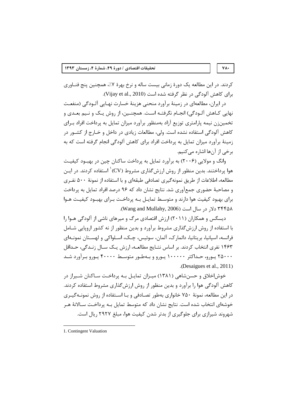کردند. در این مطالعه یک دورهٔ زمانی بیست ساله و نرخ بهرهٔ ۷٪، همچنین پنج فنـاوری برای کاهش آلودگی در نظر گرفته شده است (Vijay et al., 2010).

در ایران، مطالعهای در زمینهٔ برآورد منحنی هزینهٔ خسارت نهـایی آلـودگی (منفعـت نهایی کـاهش آلـودگی) انجـام نگرفتـه اسـت. همچنـین، از روش یـک و نـیم بعـدی و تخمین;ن نیمه پارامتری توزیع آزاد بهمنظور برآورد میزان تمایل به پرداخت افراد بـرای کاهش آلودگی استفاده نشده است. ولی، مطالعات زیادی در داخل و خـارج از کشـور در زمینهٔ برآورد میزان تمایل به پرداخت افراد برای کاهش آلودگی انجام گرفته است که به برخي از آنها اشاره مي كنيم.

وانگ و مولایی (۲۰۰۶) به برآورد تمایل به پرداخت ساکنان چین در بهبود کیفیت هوا پرداختند. بدین منظور از روش ارزش گذاری مشروط (CV)<sup>۱</sup> استفاده کردند. در ایـن مطالعه، اطلاعات از طریق نمونه گیری تصادفی طبقهای و با استفاده از نمونهٔ ۵۰۰ نفـری و مصاحبهٔ حضوری جمع[وری شد. نتایج نشان داد که ۹۶ درصد افراد تمایل به پرداخت برای بهبود کیفیت هوا دارند و متوسط تمایـل بـه پرداخـت بـرای بهبـود کیفیـت هـوا ٬Wang and Mullahy, 2006) دلا, در سال است (Wang and Mullahy, 2006).

دیسگس و همکاران (۲۰۱۱) ارزش اقتصادی مرگ و میرهای ناشی از آلودگی هـوا را با استفاده از روش ارزش گذاری مشروط برآورد و بدین منظور از نه کشور اروپایی شـامل فرانسه، اسپانيا، بريتانيا، دانمارک، آلمان، سوئيس، چـک، اسـلواکي و لهسـتان نمونـهاي ۱۴۶۳ نفری انتخاب کردند. بر اساس نتــایج مطالعــه، ارزش یــک ســال زنــدگی، حــداقل ۲۵۰۰۰ پورو، حـداکثر ۱۰۰۰۰۰ پـورو و بـهطـور متوسـط ۴۰۰۰۰ پـورو بـرآورد شـد .(Desaigues et al., 2011)

خوش|خلاق و حسن شاهی (۱۳۸۱) میـزان تمایـل بـه پرداخـت سـاکنان شـیراز در کاهش آلودگی هوا را برآورد و بدین منظور از روش ارزشگذاری مشروط استفاده کردند. در این مطالعه، نمونهٔ ۷۵۰ خانواری بهطور تصـادفی و بـا اسـتفاده از روش نمونـهگیـری خوشهای انتخاب شده است. نتایج نشان داد که متوسط تمایل بـه پرداخـت سـالانهٔ هـر شهروند شیرازی برای جلوگیری از بدتر شدن کیفیت هوا، مبلغ ۲۹۲۷ ریال است.

## $\mathsf{Y}\mathsf{A}\cdot$

<sup>1.</sup> Contingent Valuation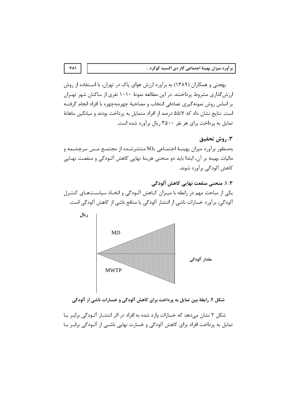بهجتی و همکاران (۱۳۸۹) به برآورد ارزش هوای پاک در تهران، با اسـتفاده از روش ارزش گذاری مشروط پرداختند. در این مطالعه نمونهٔ ۱۰۱۰ نفری از ساکنان شهر تهـران بر اساس روش نمونه گیری تصادفی انتخاب و مصاحبهٔ چهرهبهچهره با افراد انجام گرفتـه است. نتایج نشان داد که ۵۵/۷ درصد از افراد متمایل به پرداخت بودند و میانگین ماهانهٔ تمایل به پرداخت برای هر نفر ۳۵۰۰ ریال برآورد شده است.

## ٣. روش تحقيق

بهمنظور برآورد میزان بهینـهٔ اجتمـاعی SO<sub>۲</sub>منتشرشـده از مجتمـع مـس سرچشـمه و مالیات بهینه بر آن، ابتدا باید دو منحنی هزینهٔ نهایی کاهش آلـودگی و منفعـت نهـایی کاهش آلودگی برآورد شوند.

۰. ۲. منحنی منفعت نهایی کاهش آلودگی یکی از مباحث مهم در رابطه با میـزان کـاهش آلـودگی و اتخـاذ سیاسـتهـای کنتـرل آلودگی، برآورد خسارات ناشی از انتشار آلودگی یا منافع ناشی از کاهش آلودگی است.



شکل ۲. رابطهٔ بین تمایل به پرداخت برای کاهش آلودگی و خسارات ناشی از آلودگی

شکل ۲ نشان میدهد که خسارات وارد شده به افراد در اثر انتشـار آلـودگی برابـر بـا تمایل به پرداخت افراد برای کاهش آلودگی و خسارت نهایی ناشـی از آلــودگی برابـر بـا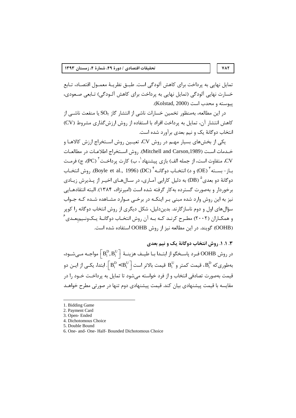تمایل نهایی به برداخت برای کاهش آلودگی است. طبیق نظریبهٔ معمیول اقتصاد، تبایع خسارت نهایی آلودگی (تمایل نهایی به پرداخت برای کاهش آلـودگی) تـابعی صـعودی، يبوسته و محدب است (Kolstad, 2000).

در این مطالعه، بهمنظور تخمین خسارات ناشی از انتشار گاز SO<sub>۲</sub> یا منفعت ناشــی از كاهش انتشار آن، تمايل به پرداخت افراد با استفاده از روش ارزش گذاری مشروط (CV) انتخاب دوگانهٔ یک و نیم بعدی برآورد شده است.

یکی از بخشهای بسیار مهـم در روش CV، تعیـین روش اسـتخراج ارزش کالاهـا و خـدمات اسـت (Mitchell and Carson,1989). روش اسـتخراج اطلاعـات در مطالعـات .<br>CV، متفاوت است، از جمله الف) بازی پیشنهاد ٰ، ب) کارت پرداخـت ٔ (PC)، ج) فرمـت باز - بســته ّ (OE) و د) انتخــاب دوگانــه ٔ (DC) (DC) (Boyle et al., 1996). روش انتخــاب دوگانهٔ دو بعدی $\left( \mathrm{DB}\right)$  به دلیل کارایی آمـاری، در سـالهـای اخیـر از پــذیرش زیـادی برخوردار و بهصورت گسترده بهکار گرفته شده است (امیرنژاد، ۱۳۸۴). البته انتقادهـایی نیز به این روش وارد شده مبنی بـر اینکـه در برخـی مـوارد مشـاهده شـده کـه جـواب سؤالهای اول و دوم ناساز گارند. بدیندلیل، شکل دیگری از روش انتخاب دوگانه را کویر و همکـاران (۲۰۰۲) مطـرح کرنــد کــه بــه آن روش انتخــاب دوگانــهٔ یــکونــیمبعــدی ٔ (OOHB) گویند. در این مطالعه نیز از روش OOHB استفاده شده است.

## ۰.۳ . . . وش انتخاب دوگانهٔ یک و نیم بعدی

در روش OOHB فـرد پاسـخگو از ابتـدا بـا طيـف هزينـهٔ  $\left\lceil \mathbf{B}_{\text{i}}^{\text{D}}, \mathbf{B}_{\text{i}}^{\text{U}}\right\rceil$  مواجـه مـىشـود، بهطوریکه  $\mathrm{B}^\mathrm{p}_\mathrm{i}$ ، قیمت کمتر و  $\mathrm{B}^\mathrm{U}_\mathrm{i}$  قیمت بالاتر است $\mathrm{B}^\mathrm{U}_\mathrm{i} < \mathrm{B}^\mathrm{U}_\mathrm{i}$ . ابتدا، یکـی از ایــن دو قیمت بهصورت تصادفی انتخاب و از فرد خواسته میشود تا تمایل به پرداخـت خــود را در مقاسه با قیمت پیشنهادی بیان کند. قیمت پیشنهادی دوم تنها در صورتی مطرح خواهـد

**VAT** 

<sup>1.</sup> Bidding Game

<sup>2.</sup> Payment Card

<sup>3.</sup> Open-Ended

<sup>4.</sup> Dichotomous Choice

<sup>5.</sup> Double Bound

<sup>6.</sup> One- and- One- Half- Bounded Dichotomous Choice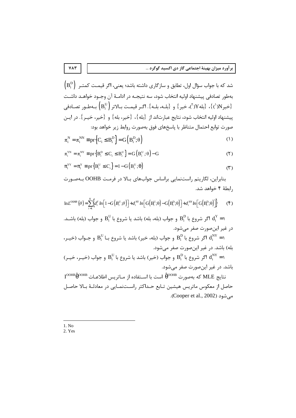شد که با جواب سؤال اول، تطابق و سازگاری داشته باشد؛ یعنی، اگر قیمـت کمتـر  $\rm \left(B_i^D\right)$ بهطور تصادفي ييشنهاد اوليه انتخاب شود، سه نتيجــه در ادامــهٔ آن وجــود خواهــد داشــت خير (\')}، {بله Y(')، خير } و {بلـه، بلـه}. اگـر قيمـت بـالاتر ( $(B_i^U)$  بـهطـور تصـادفي {\' ييشنهاد اوليه انتخاب شود، نتايج عبارتاند از {بله}، {خير، بله} و {خير، خيـر}. در ايـن صورت توابع احتمال متناظر با پاسخهای فوق بهصورت روابط زیر خواهد بود:

$$
\pi_i^N = \pi_i^{NN} \equiv pr \left\{ C_i \leq B_i^D \right\} = G \left( B_i^D; \theta \right)
$$
 (1)

$$
\pi_i^{YN} = \pi_i^{NY} \equiv pr\left\{B_i^D \le C_i \le B_i^U\right\} = G\left(B_i^U; \theta\right) - G\tag{1}
$$

$$
\pi_i^{YY} = \pi_i^Y \equiv pr\left\{B_i^U \le C_i\right\} = 1 - G\left(B_i^U; \theta\right)
$$
 (7)

بنابراین، لگاریتم راستنمایی براساس جوابهای بالا در فرمت OOHB بهصورت , ابطهٔ ۴ خواهد شد.

$$
\ln L^{OOFB}(\theta) = \sum_{i=1}^{N} \Biggl\{ d_i^{\gamma} \ln \Biggl[ 1 - G\Bigl(B_i^{\nu};\theta\Bigr) \Bigr] + d_i^{\gamma\gamma} \ln \Biggl[ G\Bigl(B_i^{\nu};\theta\Bigr) - G\Bigl(B_i^{\nu};\theta\Bigr) \Bigr] + d_i^{\gamma\gamma} \ln \Biggl[ G\Bigl(B_i^{\nu};\theta\Bigr) \Bigr] \Biggr\} \tag{5}
$$

ا اگر شروع با  $\mathrm{B}^\mathrm{D}_\mathrm{i}$  و جواب (بله، بله) باشد یا شروع با  $\mathrm{B}^\mathrm{U}_\mathrm{i}$  و جواب (بله) باشــد.  $\mathrm{d}^\mathrm{Y}_\mathrm{i}=1$ در غير اين صورت صفر مي شود. ، اگر شروع با  $\mathrm{B}^{\mathrm{D}}_i$  و جواب (بله، خیر) باشد یا شروع بـا  $\mathrm{B}^{\mathrm{U}}_i$  و جـواب (خیــر  $\mathrm{d}^{\mathrm{NY}}_i = \mathrm{N}$ 

بله) باشد. در غیر این صورت صفر مے شود. ا اگر شروع با  $\mathrm{B}^{\mathrm{D}}_i$  و جواب (خیر) باشد یا شروع با  $\mathrm{B}^{\mathrm{U}}_i$  و جواب (خیـر، خیـر)  $\mathrm{d}^{\mathrm{NY}}_i = \mathrm{N}$ 

باشد. در غیر اینصورت صفر می شود.  $1^{\rm OOHB} \hat{\theta}^{\rm OOHB}$  كه بهصورت  $\hat{\theta}^{\rm OOHB}$  است با اسـتفاده از مـاتريس اطلاعـات MLE كه بهصورت  $1^{\rm OOHB}$ 

حاصل از معکوس ماتریس هیشین تـابع حـداکثر راسـتنمـایی در معادلـهٔ بـالا حاصـل مے شود (Cooper et al., 2002).

 $1. No$ 2. Yes

 $YAT$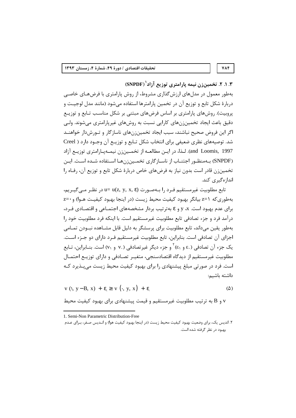۰.۲. ۲. تخمین: ن نیمه پارامتری توزیع آزاد<sup>(</sup> (SNPDF)

بهطور معمول در مدلهای ارزشگذاری مشروط، از روش پارامتری با فرضهـای خاصـی دربارهٔ شکل تابع و توزیع آن در تخمین پارامترها استفاده میشود (مانند مدل لوجیت و پروبیت). روشهای پارامتری بر اساس فرضهای مبتنی بر شکل مناسب تـابع و توزیـع دقیق باعث ایجاد تخمین;نهای کارایی نسبت به روشهای غیرپارامتری می شوند. ولـی اگر این فروض صحیح نباشند، سبب ایجاد تخمین;نهای ناسازگار و تـورش۱٫ خواهنــد شد. توصیههای نظری ضعیفی برای انتخاب شکل تـابع و توزیــع آن وجــود دارد ( Creel and Loomis, 1997). لـذا، در ايــن مطالعــه از تخمــين;زن نيمــهيــارامتري توزيــع آزاد (SNPDF) به منظور اجتنـاب از ناسـازگاری تخمـین;نهـا اسـتفاده شـده اسـت. ایـن تخمینزن قادر است بدون نیاز به فرضهای خاص دربارهٔ شکل تابع و توزیع آن، رفـاه را انداز هگیری کند.

تابع مطلوبیت غیرمستقیم فـرد ,ا بـهصـو,ت u= u(z, y, x, ε) در نظـر مـی گیـریم، بهطوري كه 1=z بيانگر بهبود كيفيت محيط زيست (در اينجا بهبود كيفيـت هـوا) و •=z برای عدم بهبود است. x، y و e بهترتیب بردار مشخصههای اجتمـاعی و اقتصـادی فـرد، درآمد فرد و جزء تصادفي تابع مطلوبيت غيرمستقيم است. با اينكه فرد مطلوبيت خود را بهطور يقين ميداند، تابع مطلوبيت براي پرسشگر به دليل قابل مشـاهده نبــودن تمــامي اجزای آن تصادفی است. بنابراین، تابع مطلوبیت غیرمستقیم فـرد دارای دو جـزء اسـت. یک جزء آن تصادفی (.ع و ٤١) و جزء دیگر غیرتصادفی (.v و v١) است. بنــابراین، تــابع مطلوبیت غیرمستقیم از دیدگاه اقتصادسنجی، متغیـر تصـادفی و دارای توزیـع احتمـال است. فرد در صورتی مبلغ پیشنهادی را برای بهبود کیفیت محیط زیست می پـذیرد کـه داشته باشیم:

$$
v (l, y - B, x) + \varepsilon \geq v (l, y, x) + \varepsilon
$$
 (2)

و B به ترتیب مطلوبیت غیرمستقیم و قیمت پیشنهادی برای بهبود کیفیت محیط v

**VAF** 

<sup>1.</sup> Semi-Non Parametric Distribution-Free

۲. اندیس یک، برای وضعیت بهبود کیفیت محیط زیست (در اینجا بهبود کیفیت هوا) و انـدیس صـفر، بـرای عـدم بهبود در نظر گرفته شده است.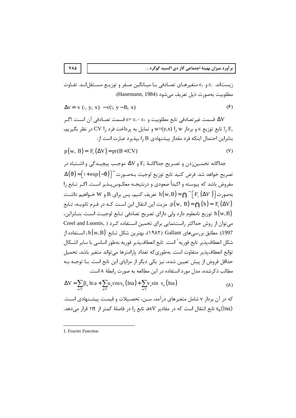زیستاند. .٤ و ٤١ متغیرهـای تصـادفی بـا میـانگین صـفر و توزیـع مسـتقل|نـد. تفـاوت مطلوبيت بهصورت ذيل تعريف مي شود (Hanemann, 1984):

$$
\Delta v = v \ (\cdot, y, x) - v(1, y - B, x) \tag{9}
$$

∆V قسمت غير تصادفي تابع مطلوبيت و 81 -.£ =8 قسمت تصـادفي آن اسـت. اگـر ، ا تابع توزيع ε و بردار w=(y,x) ۱, w و تمايل به پرداخت فرد ,ا CV در نظر بگيريم) بنابراین احتمال اینکه فرد مقدار پیشنهادی ۱٫B بیذیرد عبارت است از:

$$
p(w, B) = F\epsilon(\Delta V) = pr(B < CV)
$$
 (Y)

جداگانه تخمـين;دن و تصـريح جداگانــهٔ  $\rm{F_{8}}$  و ΔV موجـب پيچيــدگي و اشــتباه در  $\Delta(\vartheta)$ = $\lceil$ ١+ exp $(-\vartheta)\rceil$ أصريح خواهد شد. فرض كنيد تابع توزيع لوجيت بـهصـورت مفروض باشد که پیوسته و اکیداً صعودی و درنتیجـه معکـوس ٍیـذیر اسـت. اگـر تـابع را بهصورت $\bigl\lceil F_{\varepsilon}(\Delta V) \bigr\rceil$  به سريف کنيم، پس براي B و $\mathbf{W}$  خـواهيم داشـت $\bigl\lceil F_{\varepsilon}(\Delta V) \bigr\rceil$  به بريت اين انتقال اين اسـت كـه در فـرم ثانويـه، تـابع .p(w, B) =  $\bigcap(h) = F_{\varepsilon}(\Delta V)$ h (w,B) توزيع نامعلوم دارد ولي داراي تصريح تصادفي تـابع لوجيـت اسـت. بنــابراين، می توان از روش حداکثر راستنمایی برای تخمین استفاده کرد ( .Creel and Loomis 1997). مطابق بررسی های Gallant (۱۹۸۲)، بهترین شکل تـابع h(w,B)، اسـتفاده از شكل انعطاف يذير تابع فوريه<sup>\</sup> است. تابع انعطاف يذير فوريه بهطور اساسي با ساير اشـكال توابع انعطاف يذير متفاوت است. بهطوري كه تعداد يارامترها مي تواند متغير باشد. تحميل حداقل فروض از پیش تعیین شده، نیز یکی دیگر از مزایای این تابع است. بـا توجــه بــه مطالب ذکرشده، مدل مورد استفاده در این مطالعه به صورت رابطهٔ ۸ است.

$$
\Delta V = \sum_{a \in V} \beta_a \ln a + \sum_{a \in V} u_a \cos s_a (\ln a) + \sum_{a \in V} v_a \sin s_a (\ln a)
$$
 (A)

که در آن بردار v شامل متغیرهای درآمد، سـن، تحصـیلات و قیمـت پیشـنهادی اسـت. sa(lna) تابع انتقال است که در مقادیر aeV، تابع را در فاصلهٔ کمتر از  $\pi$ ۲ قرار می دهد.

 $Y\wedge\Delta$ 

<sup>1.</sup> Fourier Function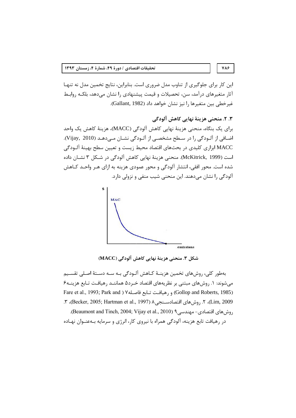این کار برای جلوگیری از تناوب مدل ضروری است. بنابراین، نتایج تخمین مدل نه تنهـا آثار متغیرهای درآمد، سن، تحصیلات و قیمت پیشنهادی را نشان میدهد، بلکـه روابـط غيرخطي بين متغيرها را نيز نشان خواهد داد (Gallant, 1982).

788

۳. ۲. منحني هزينهٔ نهايي کاهش آلودگي براي يک بنگاه، منحني هزينهٔ نهايي کاهش آلودگي (MACC)، هزينهٔ کاهش يک واحد اضافي از آلـودگي را در سـطح مشخصـي از آلـودگي نشـان مــ ،دهـد (Vijay, 2010). MACC ابزاری کلیدی در بحثهای اقتصاد محیط زیست و تعیین سطح بهینهٔ آلـودگی است (McKitrick, 1999). منحني هزينهٔ نهايي كاهش آلودگي در شـكل ۳ نشـان داده شده است. محور افقی، انتشار آلودگی و محور عمودی هزینه به ازای هـر واحـد کــاهش آلودگی را نشان می دهند. این منحنی شیب منفی و نزولی دارد.



شكل ٣. منحني هزينة نهايي كاهش آلودگي (MACC)

بهطور كلي، روشهاي تخمين هزينـهٔ كـاهش آلـودگي بـه سـه دسـتهٔ اصـلي تقسـيم میشوند: ۱. روشهای مبتنی بر نظریههای اقتصاد خـرد۵ هماننــد رهیافـت تـابع هزینــه۶ Fare et al., 1993; Park and ) Yo و رهيافت تـابع فاصـله (Gollop and Roberts, 1985) Lim, 2009)، ٢. روش هاي اقتصادسـنجي ٨ (1997 ,Becker, 2005; Hartman et al., 1997)، ٣. روشهاى اقتصادى- مهندسى٩ (Beaumont and Tinch, 2004; Vijay et al., 2010). در رهیافت تابع هزینه، آلودگی همراه با نیروی کار، انرژی و سرمایه بـهعنـوان نهـاده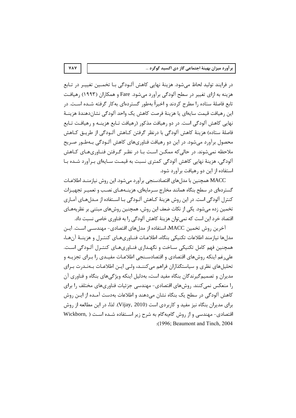در فرایند تولید لحاظ می شود. هزینهٔ نهایی کاهش آلـودگی بـا تخمـین تغییـر در تـابع هزینه به ازای تغییر در سطح آلودگی برآورد میشود. Fare و همکاران (۱۹۹۳) رهیافت تابع فاصلهٔ ستاده را مطرح کردند و اخیراً بهطور گستردهای بهکار گرفته شـده اسـت. در این رهیافت قیمت سایهای یا هزینهٔ فرصت کاهش یک واحد آلودگی نشاندهندهٔ هزینـهٔ نهایی کاهش آلودگی است. در دو رهیافت مذکور (رهیافت تـابع هزینــه و رهیافــت تــابع فاصلهٔ ستاده) هزینهٔ کاهش آلودگی با درنظر گرفتن کـاهش آلـودگی از طریـق کـاهش محصول برآورد میشود. در این دو رهیافت فناوریهای کاهش آلـودگی بـهطـور صـریح ملاحظه نمی شوند. در حالی که ممکــن اســت بــا در نظــر گــرفتن فنــاوریهــای کــاهش آلودگی، هزینهٔ نهایی کاهش آلودگی کمتری نسبت به قیمت سـایهای بـرآورد شـده بـا استفاده از این دو رهیافت برآورد شود.

MACC همچنین با مدلهای اقتصادسنجی برآورد میشود. این روش نیازمنـد اطلاعـات گستردهای در سطح بنگاه همانند مخارج سـرمایهای، هزینــههـای نصـب و تعمیـر تجهیـزات کنترل آلودگی است. در این روش هزینهٔ کـاهش آلـودگی بـا اسـتفاده از مــدل هـای آمـاری تخمین زده میشود. یکی از نکات ضعف این روش، همچنین روشهای مبتنی بر نظریههـای اقتصاد خرد این است که نمی¤وان هزینهٔ کاهش آلودگی را به فناوری خاصی نسبت داد.

آخرین روش تخمین MACC، استفاده از مدلهای اقتصادی- مهندســی اسـت. ایــن مدلها نيازمند اطلاعات تكنيكي بنگاه، اطلاعـات فنـاوريهـاي كنتـرل و هزينــهٔ آنهـا، همچنین فهم کامل تکنیکی سـاخت و نگهـداری فنـاوریهـای کنتـرل آلـودگی اسـت. علی غم اینکه روشهای اقتصادی و اقتصادسـنجی اطلاعـات مفیـدی را بـرای تجزیـه و تحلیلهای نظری و سیاستگذاران فراهم می کننــد، ولــی ایــن اطلاعــات بــهنــدرت بــرای مدیران و تصمیم گیرندگان بنگاه مفید است، بهدلیل اینکه ویژگی های بنگاه و فناوری آن را منعکس نمیکنند. روشهای اقتصادی- مهندسی جزئیات فناوریهای مختلف را برای كاهش آلودگی در سطح یک بنگاه نشان میدهند و اطلاعات بهدست آمـده از ایـن روش برای مدیران بنگاه نیز مفید و کاربردی است (Vijay, 2010). لذا، در این مطالعه از روش اقتصادی- مهندسی و از روش گامبهگام به شرح زیر استفاده شـده اسـت ( .Wickborn :(1996: Beaumont and Tinch, 2004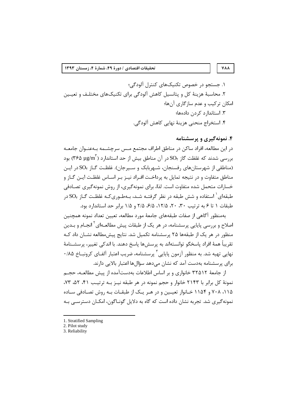#### **VAA**

١. حستحو در خصوص تكنيكهاي كنترل آلودگي؛ ۲. محاسبهٔ هزینهٔ کل و پتانسیل کاهش آلودگی برای تکنیکهای مختلـف و تعیـین امکان ترکیب و عدم سازگاری آنها؛ ۳. استاندار د کردن دادهها؛ ۴. استخراج منحنی هزینهٔ نهایی کاهش آلودگی.

## ۴. نمونه گېږي و پرسشنامه

در این مطالعه، افراد ساکن در مناطق اطراف مجتمع مـس سرچشــمه بــهعنــوان جامعــه بود (۲۶۵ بررسی شدند که غلظت گاز  $\mathrm{SO}_\mathrm{f}$ در آن مناطق بیش از حد استاندارد (۲۶۵ برای (۲۶۵ (مناطقی از شهرستانهای رفسنجان، شـهربابک و سـیرجان). غلظـت گـاز SO<sub>۲</sub> در ایـن مناطق متفاوت و در نتیجه تمایل به پرداخت افـراد نیـز بـر اسـاس غلظـت ایـن گـاز و خسارات متحمل شده متفاوت است. لذا، براي نمونهگيري، از روش نمونهگيري تصـادفي طبقهای  $^{\prime}$ استفاده و شش طبقه در نظر گرفتـه شـد، بـهطـوریکـه غلظـت گـاز SO<sub>۲</sub> در طبقات ١ تا ۶ به ترتیب ٣٠، ٢٠، ١٢/۵، ۶/۵، ٢٥، ٢٥ و ١/٥ برابر حد استاندارد بود.

بەمنظور آگاهی از صفات طبقەهای جامعهٔ مورد مطالعه، تعیین تعداد نمونه همچنین اصلاح و بررسی پایایی پرسشنامه، در هر یک از طبقات پیش مطالعـهای<sup>۲</sup> انجـام و بـدین منظور در هر یک از طبقهها ۲۵ پرسشنامه تکمیل شد. نتایج پیش مطالعه نشـان داد کـه تقريباً همهٔ افراد پاسخگو توانستهاند به پرسشها پاسخ دهند. با اندكي تغيير، پرسشـنامهٔ نهایی تهیه شد. به منظور آزمون پایایی<sup>۳</sup> پرسشنامه، ضریب اعتبار آلفـای کرونبــاخ ۰/۸۵ برای پرسشنامه بهدست آمد که نشان میدهد سؤالها اعتبار بالایی دارند.

از جامعهٔ ۳۲۵۱۲ خانواری و بر اساس اطلاعات بهدستآمده از پیش مطالعـه، حجـم نمونهٔ کل برابر با ۲۱۴۳ خانوار و حجم نمونه در هر طبقه نیــز بــه ترتیــب ۴۱، ۵۲، ۷۳، ۱۱۵، ۲۰۸ و ۱۱۵۴ خـانوار تعیـین و در هـر یـک از طبقـات بـه روش تصـادفی سـاده نمونهگیری شد. تجربه نشان داده است که گاه به دلایل گونـاگون، امکـان دسترسـی بـه

<sup>1.</sup> Stratified Sampling

<sup>2.</sup> Pilot study

<sup>3.</sup> Reliability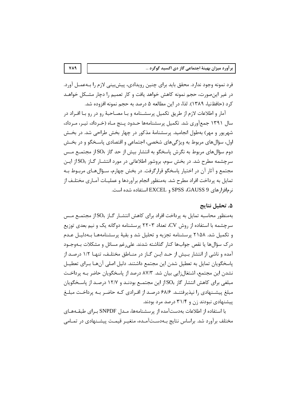فرد نمونه وجود ندارد. محقق باید برای چنین رویدادی، پیشبینی لازم را بــهعمــل آورد. در غیر اینصورت، حجم نمونه کاهش خواهد یافت و کار تعمیم را دچار مشـکل خواهـد كرد (حافظنيا، ١٣٨٩). لذا، در اين مطالعه ۵ درصد به حجم نمونه افزوده شد.

آمار و اطلاعات لازم از طریق تکمیل پرسشـنامه و بـا مصـاحبهٔ رو در رو بـا افـراد در سال ۱۳۹۱ جمع آوری شد. تکمیل پرسشنامهها حـدود پـنج مـاه (خـرداد، تیـر، مـرداد، شهریور و مهر) بهطول انجامید. پرسشنامهٔ مذکور در چهار بخش طراحی شد. در بخش اول، سؤالهای مربوط به ویژگیهای شخصی، اجتماعی و اقتصادی پاسـخگو و در بخـش دوم سؤالهای مربوط به نگرش پاسخگو به انتشار بیش از حد گاز SO<sub>۲</sub> از مجتمـع مـس سرچشمه مطرح شد. در بخش سوم، بروشور اطلاعاتی در مورد انتشــار گــاز SO<sub>۲</sub> از ایــن مجتمع و آثار آن در اختیار پاسخگو قرارگرفت. در بخش چهارم، سـؤالهـای مربـوط بـه تمایل به پرداخت افراد مطرح شد. بهمنظور انجام برآوردها و عملیـات آمـاری مختلـف از نرمافزارهای SPSS ،GAUSS 9 و EXCEL استفاده شده است.

## ۵. تحلیل نتایج

بهمنظور محاسبه تمایل به پرداخت افراد برای کاهش انتشـار گـاز SO<sub>۲ا</sub>ز مجتمـع مـس سرچشمه با استفاده از روش CV، تعداد ۲۲۰۳ پرسشنامه دوگانه یک و نیم بعدی توزیع و تکمیل شد. ۲۱۵۸ پرسشنامه تجزیه و تحلیل شد و بقیهٔ پرسشنامههـا بـهدلیـل عـدم درک سؤالها یا نقص جوابها کنار گذاشته شدند. علی رغم مسائل و مشکلات بــهوجــود آمده و ناشی از انتشار بیش از حـد ایـن گـاز در منـاطق مختلـف، تنهـا ۱/۲ درصـد از پاسخگویان تمایل به تعطیل شدن این مجتمع داشتند. دلیل اصلی آنهـا بـرای تعطیـل نشدن این مجتمع، اشتغالزایی بیان شد. ۸۷/۳ درصد از پاسخگویان حاضر بـه پرداخـت مبلغی برای کاهش انتشار گاز SO<sub>۲</sub>از این مجتمـع بودنـد و ۱۲/۷ درصـد از پاسـخگویان مبلغ پیشـنهادی را نیذیرفتنـد. ۶۸/۶ درصـد از افـرادی کـه حاضـر بـه پرداخـت مبلـغ پیشنهادی نبودند زن و ۳۱/۴ درصد مرد بودند.

با استفاده از اطلاعات بهدستآمده از پرسشنامهها، مـدل SNPDF بـراي طبقــههـاي مختلف برآورد شد. براساس نتایج بـهدسـتآمـده، متغیـر قیمـت پیشـنهادی در تمـامی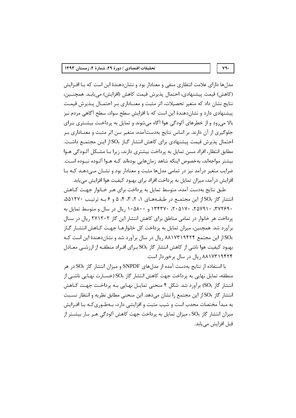مدلها دارای علامت انتظاری منفی و معنادار بود و نشاندهندهٔ این است که بـا افـزایش (كاهش) قيمت پيشنهادي، احتمال پذيرش قيمت كاهش (افزايش) مي يابـد. همچنـين، نتايج نشان داد كه متغير تحصيلات، اثر مثبت و معنــاداري بــر احتمــال يــذيرش قيمــت پیشنهادی دارد و نشاندهندهٔ این است که با افزایش سطح سواد، سطح آگاهی مردم نیز بالا می رود و از خطرهای آلودگی هوا آگاه می شوند و تمایل به پرداخت بیشـتری بـرای جلوگیری از آن دارند. بر اساس نتایج بهدستآمده، متغیر سن اثر مثبت و معنـاداری بـر احتمال پذیرش قیمت پیشنهادی برای کاهش انتشار گـاز  $SO_{Y}$ از ایـن مجتمـع داشـت. مطابق انتظار، افراد مسن تمایل به پرداخت بیشتری دارند، زیرا بـا مشـكل آلــودگی هــوا بیشتر مواجهاند، بهخصوص اینکه شاهد زمانهایی بودهاند کـه هــوا آلــوده نبــوده اســت. ضرایب متغیر درآمد نیز در تمامی مدلها مثبت و معنادار بود و نشـان مــی۵هـد کـه بـا افزایش درآمد، میزان تمایل به پرداخت افراد برای بهبود کیفیت هوا افزایش می یابد.

طبق نتایج بهدست آمده، متوسط تمایل به پرداخت برای هـر خـانوار جهـت کــاهش انتشار گاز SO<sub>۲</sub>از این مجتمع در طبقـههـای ۱، ۲، ۳، ۴، ۵ و ۶ بـه ترتیـب ۵۵۱۲۷۰ه، ۳۷۲۶۹۰، ۲۵۷۹۱۰، ۲۰۵۱۷۰، ۱۳۴۳۷۰ و ۱۰۵۸۰۰ ریال در سال و متوسط تمایل به پرداخت هر خانوار در تمامی مناطق برای کاهش انتشار این گاز ۲۷۱۲۰۲ ریال در سال برآورد شد. همچنین، میزان تمایل به پرداخت کل خانوارهـا جهـت کـاهش انتشـار گـاز SO<sub>۲</sub> این مجتمع ۸۸۱۷۳۱۹۴۲۴ ریال در سال برآورد شد و نشان دهندهٔ این است کـه بهبود کیفیت هوا ناشی از کاهش انتشار گاز SO<sub>۲ ب</sub>ـرای افـراد منطقــه از ارزشــی معــادل ۸۸۱۷۳۱۹۴۲۴ ریال در سال برخوردار است.

با استفاده از نتایج بهدست آمده از مدلهای SNPDF و میزان انتشار گاز SO<sub>۲</sub> در هر منطقه، تمایل نهایی به پرداخت جهت کاهش انتشار گاز SO<sub>۲</sub> (خســارت نهـایی ناشــی از انتشار گاز SO<sub>۲)</sub> برآورد شد. شکل ۴ منحنی تمایـل نهـایی بـه پرداخـت جهـت کـاهش انتشار گاز SO<sub>۲</sub>از این مجتمع را نشان میدهد. این منحنی مطابق نظریه و انتظار نسـبت به مبدأ مختصات محدب است و شیب مثبت و افزایشی دارد، بـهطـوریکـه بـا افـزایش میزان انتشار گاز SO<sub>۲</sub>، میزان تمایل به پرداخت جهت کاهش آلودگی هـر بـار بیشــتر از قبل افزایش می یابد.

#### $Y$ ٩٠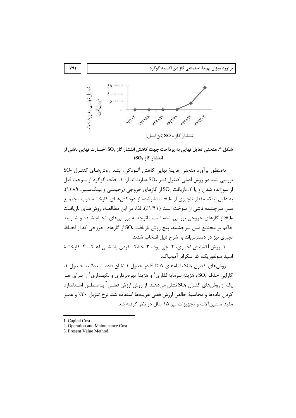

شکل ۴. منحنی تمایل نهایی به پرداخت جهت کاهش انتشار گاز SO<sub>۲</sub> (خسارت نهایی ناشی از انتشار گاز SO<sub>۲</sub>)

بهمنظور برآورد منحني هزينهٔ نهايي كاهش آلـودگي، ابتـدا روشهـاي كنتـرل SO<sub>۲</sub> بررسی شد. دو روش اصلی کنترل نشر SO<sub>۲</sub> عبارتاند از: ۱. حذف گوگرد از سوخت قبل از سوزانده شدن و یا ۲. بازیافت SO<sub>۲</sub> گازهای خروجی (رحیمـی و نیـکسـیر، ۱۳۸۹). به دلیل اینکه مقدار ناچیزی از SO<sub>۲</sub> منتشرشده از دودکشهـای کارخانـه ذوب مجتمـع مس سرچشمه ناشی از سوخت است (۱/۴۱٪). لذا، در این مطالعـه، روشهـای بازیافـت از گازهای خروجی بررسی شده است. باتوجه به بررسیهای انجـام شـده و شـرایط  $\mathrm{SO}_\tau$ حاکم بر مجتمع مس سرچشمه، پنج روش بازیافت SO<sub>۲</sub> از گازهای خروجی که از لحـاظ تجاری نیز در دسترس!ند به شرح ذیل انتخاب شدند:

١. روش اكسايش اجباري، ٢. چي پودا، ٣. خشک کردن پاششــي آهـک، ۴. کارخانــهٔ اسيد سولفوريک، ۵. اسکرابر آمونياک.

 $\cdot$ ۹) روش های کنترل  $SO_{\gamma}$ با نامهای A تا $E$  در جدول ۱ نشان داده شـدهانـد. جـدول ۱ کارایی حذف SO, هزینهٔ سرمایهگذاری <sup>۱</sup> و هزینهٔ بهرهبرداری و نگهـداری <sup>۲</sup> را بـرای هـر یک از روشهای کنترل SO<sub>۲</sub> نشان می $\sim$ هد. از روش ارزش فعلـی <sup>۳</sup> بـهمنظـور اســتاندارد كردن دادهها و محاسبهٔ خالص ارزش فعلى هزينهها استفاده شد. نرخ تنزيل ٢٠٪ و عمـر مفید ماشینآلات و تجهیزات نیز ۱۵ سال در نظر گرفته شد.

 $Y = 1$ 

<sup>1.</sup> Capital Cost

<sup>2.</sup> Operation and Maintenance Cost

<sup>3.</sup> Present Value Method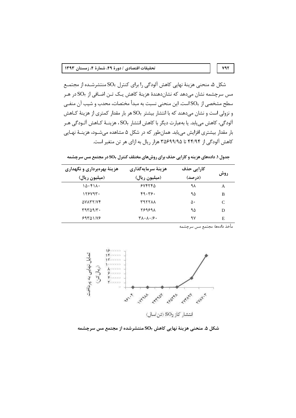شکل ۵، منحنی هزینهٔ نهایی کاهش آلودگی را برای کنترل SO<sub>۲</sub> منتشرشـده از مجتمــع مس سرچشمه نشان میدهد که نشاندهندهٔ هزینهٔ کاهش یـک تـن اضـافی از SO<sub>۲</sub> در هـر سطح مشخصی از SO<sub>۲</sub>است. این منحنی نسبت به مبدأ مختصات، محدب و شیب آن منفـی و نزولی است و نشان میدهند که با انتشار بیشتر SO<sub>۲</sub> هر بار مقدار کمتری از هزینهٔ کـاهش آلودگی، کاهش می یابد. یا بهعبارت دیگر با کاهش انتشار SO<sub>۲</sub>، هزینـهٔ کـاهش آلــودگی هــر بار مقدار بیشتری افزایش می یابد. همانطور که در شکل ۵ مشاهده می شــود، هزینــهٔ نهــایی کاهش آلودگی از ۴۴/۹۴ تا ۳۵۶۹۹/۹۵ هزار ریال به ازای هر تن متغیر است.

| جدول ۱. دادههای هزینه و کارایی حذف برای روشهای مختلف کنترل SO <sub>۲</sub> در مجتمع مس سرچشمه |  |  |  |
|-----------------------------------------------------------------------------------------------|--|--|--|
|-----------------------------------------------------------------------------------------------|--|--|--|

| هزینهٔ بهرهبرداری و نگهداری | هزينهٔ سرمايهگذاري<br>(میلیون ریال)               | کارایی حذف<br>(درصد) | روش |
|-----------------------------|---------------------------------------------------|----------------------|-----|
| (میلیون ریال)               |                                                   |                      |     |
| ۱۵۰۴۱۸۰                     | 50550                                             | ۹۸                   | A   |
| ۱۲۶۷۹۳۰                     | ۴۹۰۳۶۰                                            | ۹۵                   | B   |
| AVATTIVE                    | <b>KATTAX</b>                                     | ۵۰                   | C   |
| ۳۹۳۵۹/۳۰                    | 889898                                            | ۹۵                   | D   |
| 59801/8                     | $\forall \lambda \cdot \lambda \cdot \beta \cdot$ | ۹۷                   | Е   |

مأخذ دادهها: مجتمع مس سرچشمه

 $Y$ 97



شکل ۵. منحنی هزینهٔ نهایی کاهش SO<sub>۲</sub> منتشرشده از مجتمع مس سرچشمه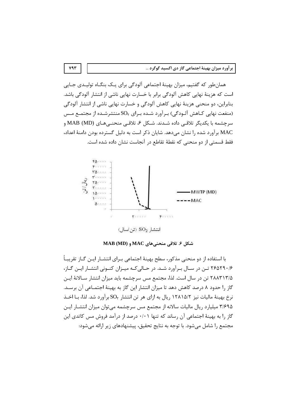همان طور که گفتیم، میزان بهینهٔ اجتماعی آلودگی برای یـک بنگـاه تولیـدی جـایی است که هزینهٔ نهایی کاهش آلودگی برابر با خسارت نهایی ناشی از انتشار آلودگی باشد. بنابراین، دو منحنی هزینهٔ نهایی کاهش آلودگی و خسارت نهایی ناشی از انتشار آلودگی (منفعت نهایی کـاهش آلـودگی) بـرآورد شـده بـرای SO<sub>۲</sub> منتشرشـده از مجتمـع مـس سرچشمه با یکدیگر تلاقے داده شـدند. شـکل ۶، تلاقـی منحنـی هـای (MD) MAB و MAC برآورد شده را نشان می دهد. شایان ذکر است به دلیل گسترده بودن دامنهٔ اعداد، فقط قسمتی از دو منحنی که نقطهٔ تقاطع در آنجاست نشان داده شده است.



شكل ۶. تلاقى منحنىهاى MAC و MAB (MD)

با استفاده از دو منحنی مذکور، سطح بهینهٔ اجتماعی بـرای انتشـار ایـن گـاز تقریبـاً ۲۶۵۲۹۰۱۶ تـن در سـال بـرآورد شـد. در حـالی کـه میـزان کنـونی انتشـار ایـن گـاز، ۲۸۸۳۱۳/۵ تن در سال است. لذا، مجتمع مس سرچشمه باید میزان انتشار سـالانهٔ ایـن گاز را حدود ۸ درصد کاهش دهد تا میزان انتشار این گاز به بهینهٔ اجتمـاعی آن برسـد. نرخ بهینهٔ مالیات نیز ۱۲۸۱۵/۲ ریال به ازای هر تن انتشار SO<sub>۲</sub> برآورد شد. لذا، بــا اخــذ ۳/۶۹۵ میلیارد ریال مالیات سالانه از مجتمع مس سرچشمه می توان میزان انتشـار ایـن گا; ۱٫ به بهینهٔ اجتماعی آن ,ساند که تنها ۰/۰۱ درصد از درآمد فروش مس کاتدی این مجتمع را شامل می شود. با توجه به نتایج تحقیق، پیشنهادهای زیر ارائه می شود: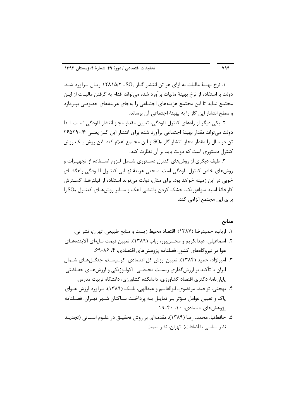۰. نرخ بهینهٔ مالیات به ازای هر تن انتشار گـاز SO<sub>۲</sub>، ۱۲۸۱۵/۲ ریـال بـرآورد شـد. دولت با استفاده از نرخ بهينهٔ ماليات برآورد شده ميتواند اقدام به گرفتن ماليـات از ايـن مجتمع نماید تا این مجتمع هزینههای اجتماعی را بهجای هزینههای خصوصی بیـردازد و سطح انتشار این گاز را به بهینهٔ اجتماعی آن برساند.

٢. یکی دیگر از رامهای کنترل آلودگی، تعیین مقدار مجاز انتشار آلودگی است. لـذا دولت می تواند مقدار بهینهٔ اجتماعی برآورد شده برای انتشار این گـاز یعنـی ۲۶۵۲۹۰/۶ تن در سال را مقدار مجاز انتشار گاز SO<sub>۲</sub>از این مجتمع اعلام کند. این روش یک روش کنترل دستوری است که دولت باید بر آن نظارت کند.

۳. طیف دیگری از روشهای کنترل دستوری شـامل لـزوم اسـتفاده از تجهیـزات و روشهای خاص کنترل آلودگی است. منحنی هزینهٔ نهـایی کنتـرل آلـودگی راهگشـای خوبی در این زمینه خواهد بود. برای مثال، دولت می تواند استفاده از فیلترهـا، گســترش کارخانهٔ اسید سولفوریک، خشک کردن پاششی آهک و سـایر روشهـای کنتـرل SO<sub>۲و</sub>ا برای این مجتمع الزامی کند.

## منابع

- ١. ارباب، حميدرضا (١٣٨٧). اقتصاد محيط زيست و منابع طبيعي. تهران، نشر ني. ۲. اسماعیلی، عبدالکریم و محسن بور، رباب (۱۳۸۹). تعیین قیمت سایهای آلایندههـای هوا در نیروگاههای کشور. فصلنامه پژوهشهای اقتصادی، ۴، ۸۶-۶۹.
- ۳. امیرنژاد، حمید (۱۳۸۴). تعیین ارزش کل اقتصادی اکوسیسـتم جنگـل۱هـای شـمال ایران با تأکید بر ارزشگذاری زیست محیطـی- اکولـوژیکی و ارزشهـای حفـاظتی. پایاننامهٔ دکتری اقتصاد کشاورزی، دانشکده کشاورزی، دانشگاه تربیت مدرس.
- ۴. بهجتی، توحید، مرتضوی، ابوالقاسم و عبدالهی، بابـک (۱۳۸۹). بـرآورد ارزش هـوای پاک و تعیین عوامل مـؤثر بـر تمایـل بـه پرداخـت سـاکنان شـهر تهـران. فصـلنامه بژوهش های اقتصادی، ۱۰، ۴۰-۱۹.
- ۵. حافظنیا، محمد. رضا (۱۳۸۹). مقدمهای بر روش تحقیــق در علــوم انســانی (تجدیــد نظر اساسی با اضافات). تهران، نشر سمت.

#### $YAP$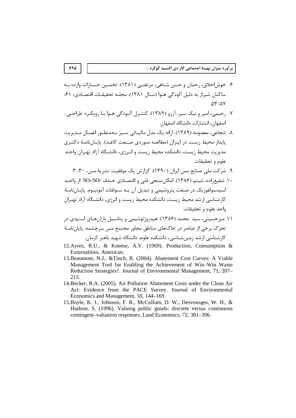- ۶. خوش|خلاق، رحمان و حسن شـاهي، مرتضـي (۱۳۸۱). تخمــين خســارات وارده بـه ساكنان شيراز به دليل آلودگي هـوا (سـال ١٣٨١). مجلـه تحقيقـات اقتصـادي، ٤١،  $\Delta Y - \Delta V$
- ۷. رحیمی، امیر و نیک سیر، آرزو (۱۳۸۹). کنتـرل آلـودگی هـوا بـا رویکـرد طراحــ ،. اصفهان، انتشارات دانشگاه اصفهان.
- ٨. شجاعے، معصومه (١٣٨٩). ارائه یک مدل مالیـاتی سـبز بـهمنظـور اعمـال مـدیریت پایدار محیط زیست در ایـران (مطالعـه مـوردی صـنعت کاغـذ). پایـانiامـهٔ دکتـری مدیریت محیط زیست، دانشکده محیط زیست و انـرژی، دانشـگاه آزاد تهـران واحـد علوم و تحقيقات.
	- ۹. شرکت ملی صنایع مس ایران (۱۳۹۰). گزارش یک موفقیت. نشریهٔ مس، ۳۰، ۳.
- ۱۰. شفیعزاده، شبنم (۱۳۸۶). امکانِسنجی فنی و اقتصـادی حـذف SO،/SO، از واحـد اسیدسولفوریک در صنعت پتروشیمی و تبدیل آن بـه سـولفات آمونیـوم. پایـانiامـهٔ کارشناسی ارشد محیط زیست، دانشکده محیط زیست و انرژی، دانشیگاه آزاد تهیران واحد علوم و تحقيقات.
- ۱۱. میرحسینی، سید محمد (۱۳۸۶). هیدروژئوشیمی و پتانسیل بارانهـای اسـیدی در تحرک برخی از عناصر در خاکهای مناطق مجاور مجتمع مس سرچشمه. پایان نامـهٔ کارشناسی ارشد زمین شناسی، دانشکده علوم، دانشگاه شهید باهنر کرمان.
- 12. Ayres, R.U., & Kneese, A.V. (1969). Production, Consumption & Externalities. American.
- 13. Beaumont, N.J., & Tinch, R. (2004). Abatement Cost Curves: A Viable Management Tool for Enabling the Achievement of Win–Win Waste Reduction Strategies?. Journal of Environmental Management, 71, 207– 215.
- 14. Becker, R.A. (2005). Air Pollution Abatement Costs under the Clean Air Act: Evidence from the PACE Survey. Journal of Environmental Economics and Management, 50, 144–169.
- 15. Boyle, K. J., Johnson, F. R., McCollum, D. W., Desvousges, W. H., & Hudson, S. (1996). Valuing public goods: discrete versus continuous contingent–valuation responses. Land Economics, 72, 381–396.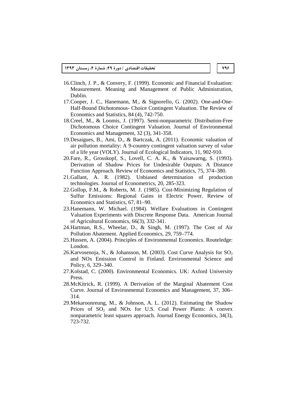- 16.Clinch, J. P., & Convery, F. (1999). Economic and Financial Evaluation: Measurement. Meaning and Management of Public Administration, Dublin.
- 17.Cooper, J. C., Hanemann, M., & Signorello, G. (2002). One-and-One-Half-Bound Dichotomous- Choice Contingent Valuation. The Review of Economics and Statistics, 84 (4), 742-750.
- 18.Creel, M., & Loomis, J. (1997). Semi-nonparametric Distribution-Free Dichotomous Choice Contingent Valuation. Journal of Environmental Economics and Management, 32 (3), 341-358.
- 19.Desaigues, B., Ami, D., & Bartczak, A. (2011). Economic valuation of air pollution mortality: A 9-country contingent valuation survey of value of a life year (VOLY). Journal of Ecological Indicators, 11, 902-910.
- 20.Fare, R., Grosskopf, S., Lovell, C. A. K., & Yaisawarng, S. (1993). Derivation of Shadow Prices for Undesirable Outputs: A Distance Function Approach. Review of Economics and Statistics, 75, 374–380.
- 21.Gallant, A. R. (1982). Unbiased determination of production technologies. Journal of Econometrics, 20, 285-323.
- 22.Gollop, F.M., & Roberts, M. J. (1985). Cost-Minimizing Regulation of Sulfur Emissions: Regional Gains in Electric Power. Review of Economics and Statistics, 67, 81–90.
- 23.Hanemann, W. Michael. (1984). Welfare Evaluations in Contingent Valuation Experiments with Discrete Response Data. American Journal of Agricultural Economics, 66(3), 332-341.
- 24.Hartman, R.S., Wheelar, D., & Singh, M. (1997). The Cost of Air Pollution Abatement. Applied Economics, 29, 759–774.
- 25.Hussen, A. (2004). Principles of Environmental Economics. Routeledge: London.
- 26. Karvosenoja, N., & Johansson, M. (2003). Cost Curve Analysis for  $SO<sub>2</sub>$ and NOx Emission Control in Finland. Environmental Science and Policy, 6, 329–340.
- 27.Kolstad, C. (2000). Environmental Economics. UK: Axford University Press.
- 28.McKitrick, R. (1999). A Derivation of the Marginal Abatement Cost Curve. Journal of Environmental Economics and Management, 37, 306– 314.
- 29.Mekaroonreung, M., & Johnson, A. L. (2012). Estimating the Shadow Prices of  $SO_2$  and NO<sub>x</sub> for U.S. Coal Power Plants: A convex nonparametric least squares approach. Journal Energy Economics, 34(3), 723-732.